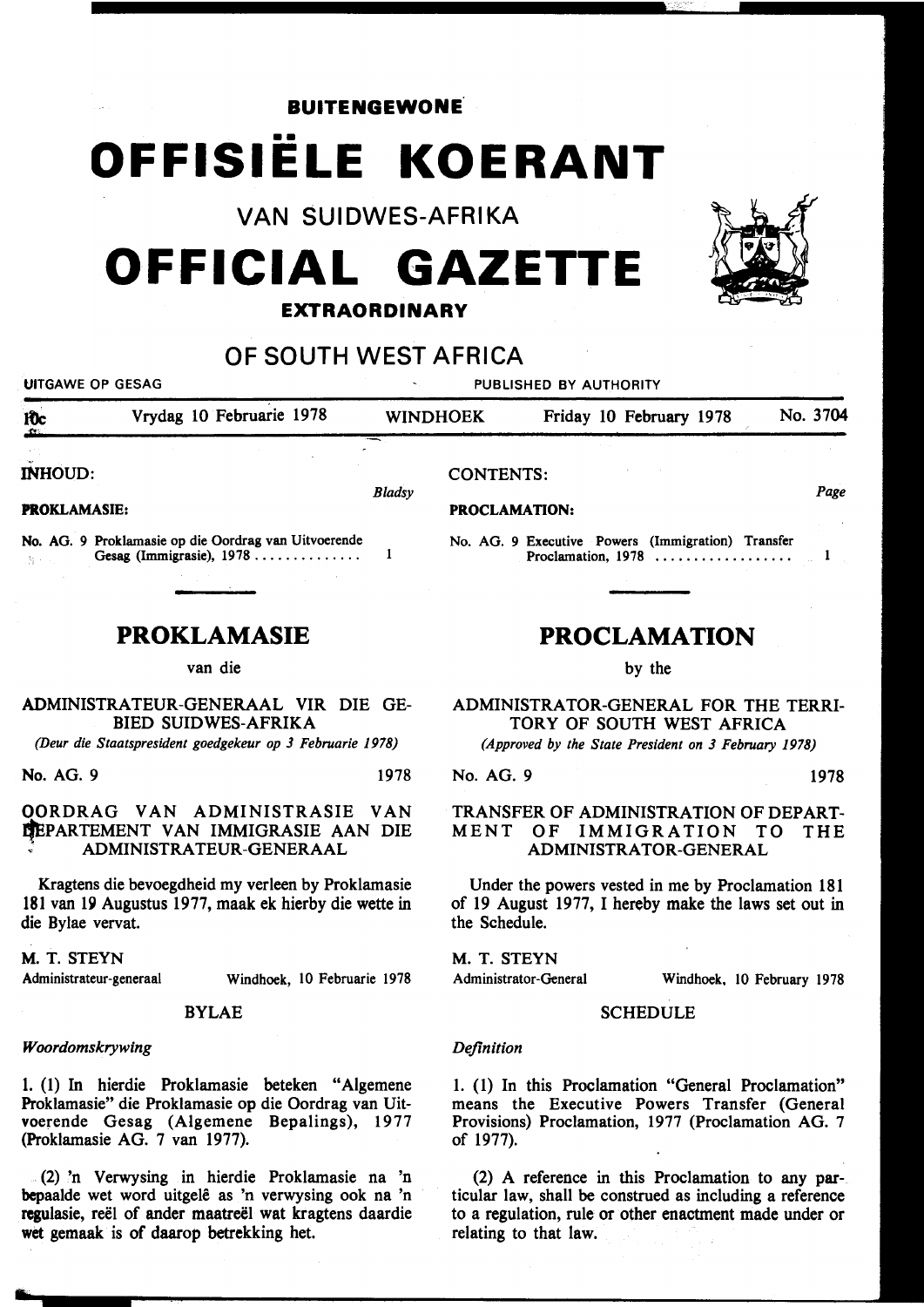**BUITENGEWONE** 

# •• OFFISIELE KOERANT

VAN SUIDWES-AFRIKA

## OFFICIAL GAZETTE

#### EXTRAORDINARY

### OF SOUTH WEST AFRICA



bepaalde wet word uitgele as 'n verwysing ook na 'n regulasie, reël of ander maatreël wat kragtens daardie wet gemaak is of daarop betrekking het.

ticular law, shall be construed as including a reference to a regulation, rule or other enactment made under or relating to that law.